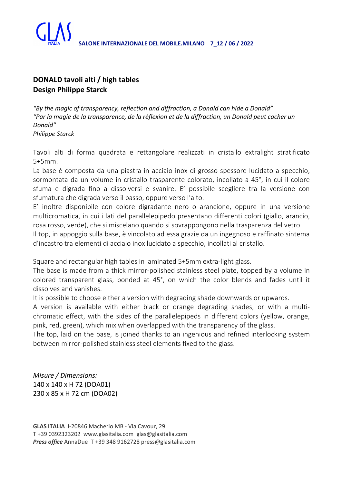

## **DONALD tavoli alti / high tables Design Philippe Starck**

*"By the magic of transparency, reflection and diffraction, a Donald can hide a Donald" "Par la magie de la transparence, de la réflexion et de la diffraction, un Donald peut cacher un Donald" Philippe Starck*

Tavoli alti di forma quadrata e rettangolare realizzati in cristallo extralight stratificato 5+5mm.

La base è composta da una piastra in acciaio inox di grosso spessore lucidato a specchio, sormontata da un volume in cristallo trasparente colorato, incollato a 45°, in cui il colore sfuma e digrada fino a dissolversi e svanire. E' possibile scegliere tra la versione con sfumatura che digrada verso il basso, oppure verso l'alto.

E' inoltre disponibile con colore digradante nero o arancione, oppure in una versione multicromatica, in cui i lati del parallelepipedo presentano differenti colori (giallo, arancio, rosa rosso, verde), che si miscelano quando si sovrappongono nella trasparenza del vetro.

Il top, in appoggio sulla base, è vincolato ad essa grazie da un ingegnoso e raffinato sintema d'incastro tra elementi di acciaio inox lucidato a specchio, incollati al cristallo.

Square and rectangular high tables in laminated 5+5mm extra-light glass.

The base is made from a thick mirror-polished stainless steel plate, topped by a volume in colored transparent glass, bonded at 45°, on which the color blends and fades until it dissolves and vanishes.

It is possible to choose either a version with degrading shade downwards or upwards.

A version is available with either black or orange degrading shades, or with a multichromatic effect, with the sides of the parallelepipeds in different colors (yellow, orange, pink, red, green), which mix when overlapped with the transparency of the glass.

The top, laid on the base, is joined thanks to an ingenious and refined interlocking system between mirror-polished stainless steel elements fixed to the glass.

*Misure / Dimensions:* 140 x 140 x H 72 (DOA01) 230 x 85 x H 72 cm (DOA02)